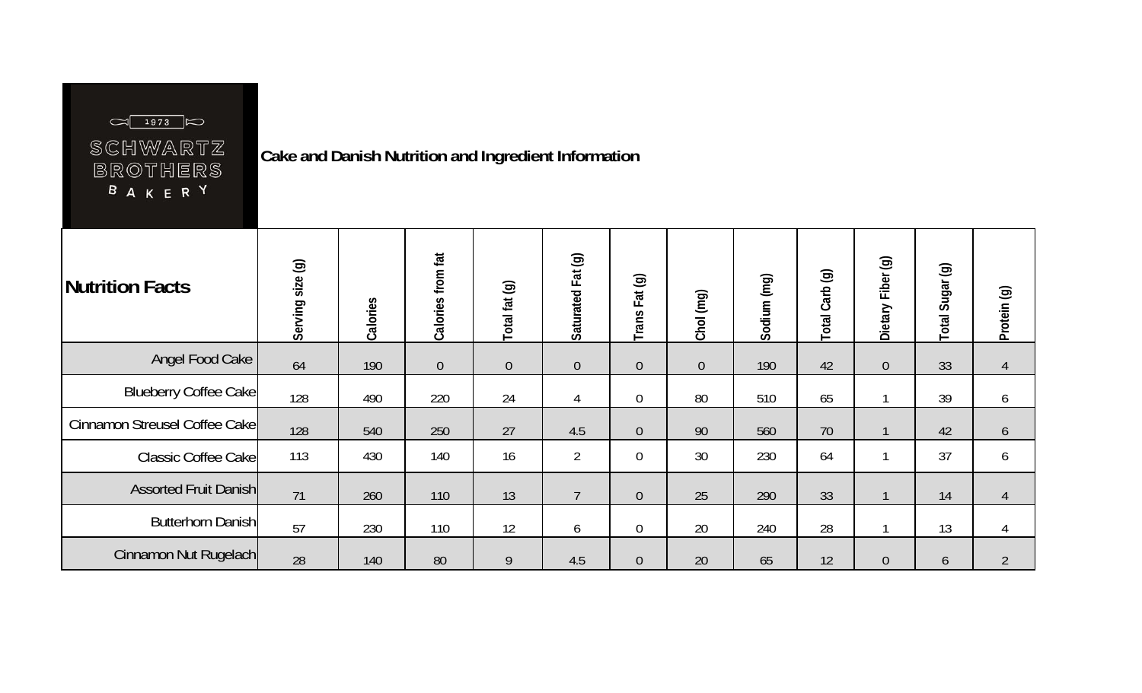## SCHWARTZ BROTHERS **BAKERY**

**Cake and Danish Nutrition and Ingredient Information** 

| Nutrition Facts               | Serving size (g) | Calories | Calories from fat | Total fat (g)  | Saturated Fat (g) | Fat (g)<br>Trans | Chol (mg)      | Sodium (mg) | Total Carb (g) | $\circledcirc$<br>Fiber<br>Dietary | $\circledcirc$<br>Sugar<br>Total | Protein (g)    |
|-------------------------------|------------------|----------|-------------------|----------------|-------------------|------------------|----------------|-------------|----------------|------------------------------------|----------------------------------|----------------|
| Angel Food Cake               | 64               | 190      | $\overline{0}$    | $\overline{0}$ | $\theta$          | $\theta$         | $\overline{0}$ | 190         | 42             | $\overline{0}$                     | 33                               | 4              |
| <b>Blueberry Coffee Cake</b>  | 128              | 490      | 220               | 24             | $\overline{4}$    | $\theta$         | 80             | 510         | 65             |                                    | 39                               | 6              |
| Cinnamon Streusel Coffee Cake | 128              | 540      | 250               | 27             | 4.5               | $\theta$         | 90             | 560         | 70             |                                    | 42                               | 6              |
| Classic Coffee Cake           | 113              | 430      | 140               | 16             | $\overline{2}$    | $\boldsymbol{0}$ | 30             | 230         | 64             |                                    | 37                               | 6              |
| <b>Assorted Fruit Danish</b>  | 71               | 260      | 110               | 13             | $\overline{7}$    | $\theta$         | 25             | 290         | 33             | $\mathbf{1}$                       | 14                               | 4              |
| <b>Butterhorn Danish</b>      | 57               | 230      | 110               | 12             | $\boldsymbol{6}$  | $\theta$         | 20             | 240         | 28             |                                    | 13                               | 4              |
| Cinnamon Nut Rugelach         | 28               | 140      | 80                | 9              | 4.5               | $\theta$         | 20             | 65          | 12             | $\overline{0}$                     | 6                                | $\overline{2}$ |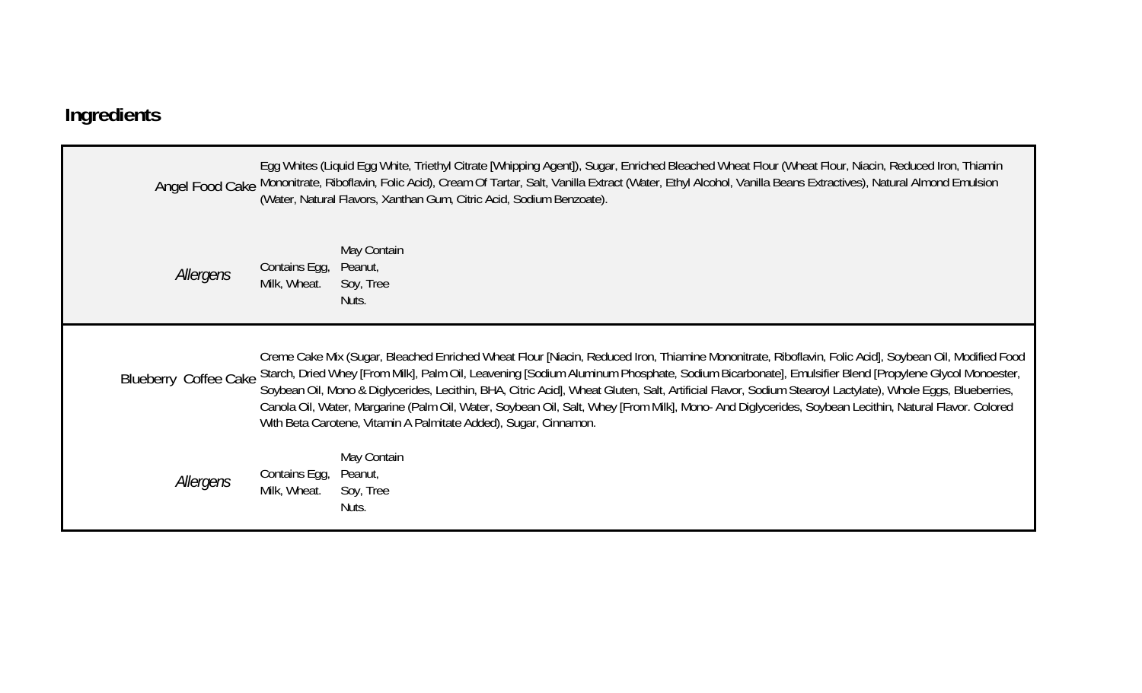## **Ingredients**

|                              |                               | Egg Whites (Liquid Egg White, Triethyl Citrate [Whipping Agent]), Sugar, Enriched Bleached Wheat Flour (Wheat Flour, Niacin, Reduced Iron, Thiamin<br>Angel Food Cake Mononitrate, Riboflavin, Folic Acid), Cream Of Tartar, Salt, Vanilla Extract (Water, Ethyl Alcohol, Vanilla Beans Extractives), Natural Almond Emulsion<br>(Water, Natural Flavors, Xanthan Gum, Citric Acid, Sodium Benzoate).                                                                                                                                                                                                                                                                                                 |
|------------------------------|-------------------------------|-------------------------------------------------------------------------------------------------------------------------------------------------------------------------------------------------------------------------------------------------------------------------------------------------------------------------------------------------------------------------------------------------------------------------------------------------------------------------------------------------------------------------------------------------------------------------------------------------------------------------------------------------------------------------------------------------------|
| Allergens                    | Contains Egg,<br>Milk, Wheat. | May Contain<br>Peanut,<br>Soy, Tree<br>Nuts.                                                                                                                                                                                                                                                                                                                                                                                                                                                                                                                                                                                                                                                          |
| <b>Blueberry Coffee Cake</b> |                               | Creme Cake Mix (Sugar, Bleached Enriched Wheat Flour [Niacin, Reduced Iron, Thiamine Mononitrate, Riboflavin, Folic Acid], Soybean Oil, Modified Food<br>Starch, Dried Whey [From Milk], Palm Oil, Leavening [Sodium Aluminum Phosphate, Sodium Bicarbonate], Emulsifier Blend [Propylene Glycol Monoester,<br>Soybean Oil, Mono & Diglycerides, Lecithin, BHA, Citric Acid], Wheat Gluten, Salt, Artificial Flavor, Sodium Stearoyl Lactylate), Whole Eggs, Blueberries,<br>Canola Oil, Water, Margarine (Palm Oil, Water, Soybean Oil, Salt, Whey [From Milk], Mono-And Diglycerides, Soybean Lecithin, Natural Flavor. Colored<br>With Beta Carotene, Vitamin A Palmitate Added), Sugar, Cinnamon. |
| Allergens                    | Contains Egg,<br>Milk, Wheat. | May Contain<br>Peanut,<br>Soy, Tree<br>Nuts.                                                                                                                                                                                                                                                                                                                                                                                                                                                                                                                                                                                                                                                          |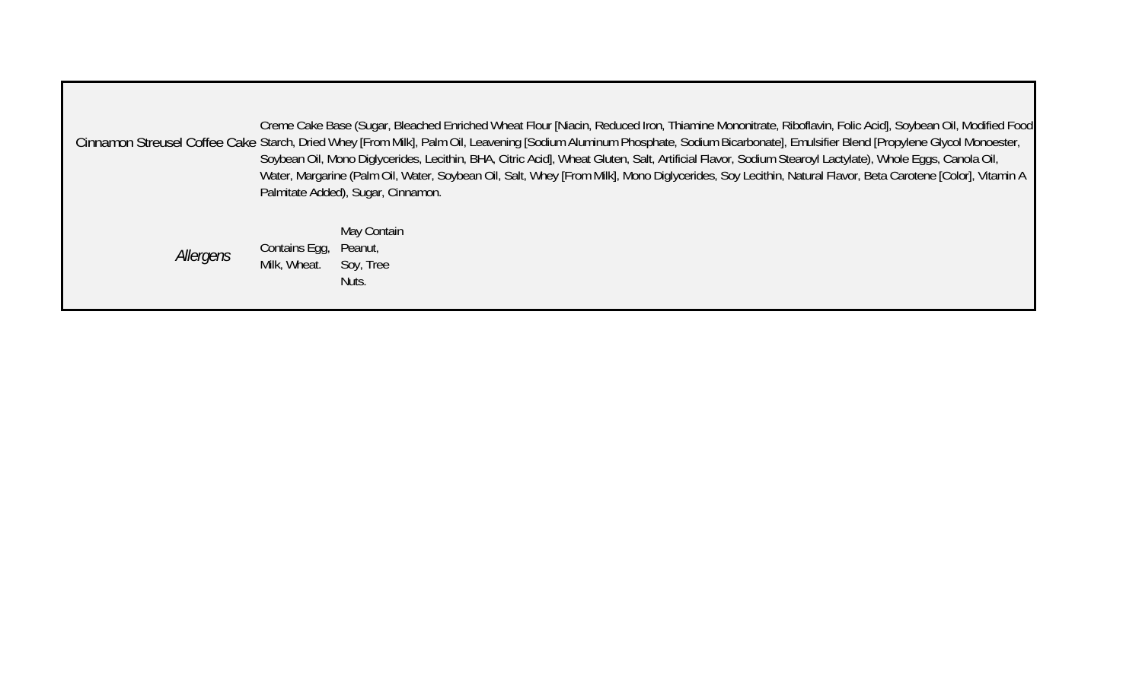Cinnamon Streusel Coffee Cake Starch, Dried Whey [From Milk], Palm Oil, Leavening [Sodium Aluminum Phosphate, Sodium Bicarbonate], Emulsifier Blend [Propylene Glycol Monoester, Creme Cake Base (Sugar, Bleached Enriched Wheat Flour [Niacin, Reduced Iron, Thiamine Mononitrate, Riboflavin, Folic Acid], Soybean Oil, Modified Food Soybean Oil, Mono Diglycerides, Lecithin, BHA, Citric Acid], Wheat Gluten, Salt, Artificial Flavor, Sodium Stearoyl Lactylate), Whole Eggs, Canola Oil, Water, Margarine (Palm Oil, Water, Soybean Oil, Salt, Whey [From Milk], Mono Diglycerides, Soy Lecithin, Natural Flavor, Beta Carotene [Color], Vitamin A Palmitate Added), Sugar, Cinnamon.

> *Allergens* Contains Egg, May Contain Contains Egg, Peanut, Soy, Tree Nuts.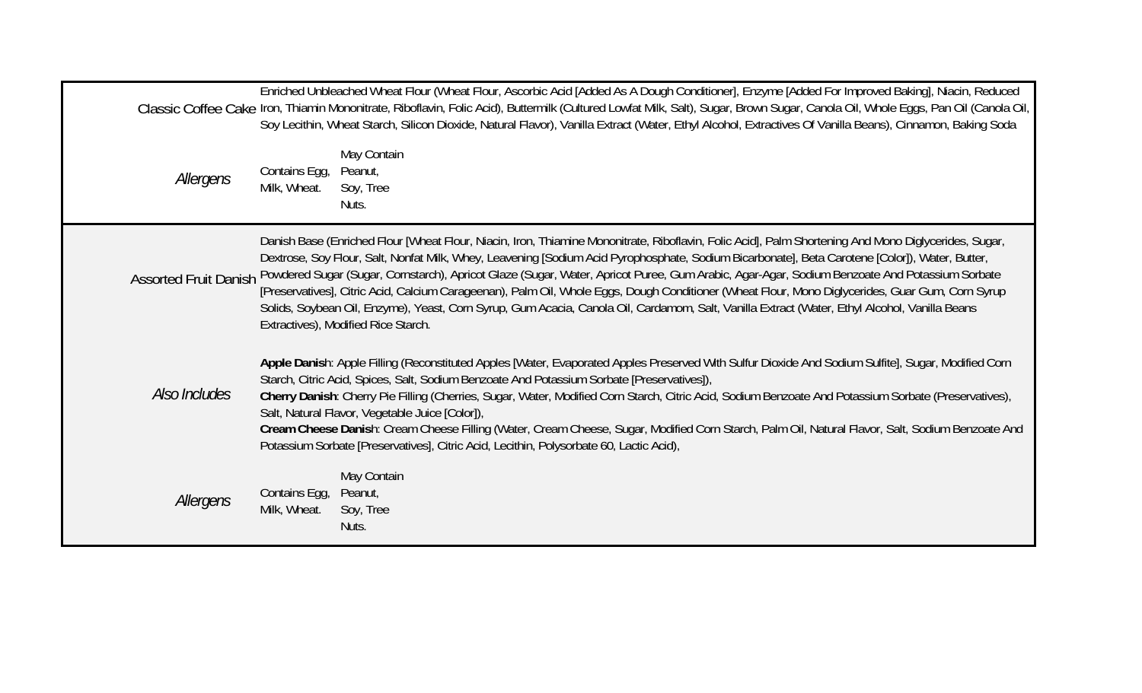| Enriched Unbleached Wheat Flour (Wheat Flour, Ascorbic Acid [Added As A Dough Conditioner], Enzyme [Added For Improved Baking], Niacin, Reduced<br>Classic Coffee Cake Iron, Thiamin Mononitrate, Riboflavin, Folic Acid), Buttermilk (Cultured Lowfat Milk, Salt), Sugar, Brown Sugar, Canola Oil, Whole Eggs, Pan Oil (Canola Oil,<br>Soy Lecithin, Wheat Starch, Silicon Dioxide, Natural Flavor), Vanilla Extract (Water, Ethyl Alcohol, Extractives Of Vanilla Beans), Cinnamon, Baking Soda |                                                                                                                                                                                                                                                                                                                                                                                                                                                                                                                                                                                                                                                                                                                                                                                                     |  |  |
|---------------------------------------------------------------------------------------------------------------------------------------------------------------------------------------------------------------------------------------------------------------------------------------------------------------------------------------------------------------------------------------------------------------------------------------------------------------------------------------------------|-----------------------------------------------------------------------------------------------------------------------------------------------------------------------------------------------------------------------------------------------------------------------------------------------------------------------------------------------------------------------------------------------------------------------------------------------------------------------------------------------------------------------------------------------------------------------------------------------------------------------------------------------------------------------------------------------------------------------------------------------------------------------------------------------------|--|--|
| Allergens                                                                                                                                                                                                                                                                                                                                                                                                                                                                                         | May Contain<br>Contains Egg,<br>Peanut,<br>Milk, Wheat.<br>Soy, Tree<br>Nuts.                                                                                                                                                                                                                                                                                                                                                                                                                                                                                                                                                                                                                                                                                                                       |  |  |
| <b>Assorted Fruit Danish</b>                                                                                                                                                                                                                                                                                                                                                                                                                                                                      | Danish Base (Enriched Flour [Wheat Flour, Niacin, Iron, Thiamine Mononitrate, Riboflavin, Folic Acid], Palm Shortening And Mono Diglycerides, Sugar,<br>Dextrose, Soy Flour, Salt, Nonfat Milk, Whey, Leavening [Sodium Acid Pyrophosphate, Sodium Bicarbonate], Beta Carotene [Color]), Water, Butter,<br>Powdered Sugar (Sugar, Cornstarch), Apricot Glaze (Sugar, Water, Apricot Puree, Gum Arabic, Agar-Agar, Sodium Benzoate And Potassium Sorbate<br>[Preservatives], Citric Acid, Calcium Carageenan), Palm Oil, Whole Eggs, Dough Conditioner (Wheat Flour, Mono Diglycerides, Guar Gum, Corn Syrup<br>Solids, Soybean Oil, Enzyme), Yeast, Corn Syrup, Gum Acacia, Canola Oil, Cardamom, Salt, Vanilla Extract (Water, Ethyl Alcohol, Vanilla Beans<br>Extractives), Modified Rice Starch. |  |  |
| Also Includes                                                                                                                                                                                                                                                                                                                                                                                                                                                                                     | Apple Danish: Apple Filling (Reconstituted Apples [Water, Evaporated Apples Preserved With Sulfur Dioxide And Sodium Sulfite], Sugar, Modified Corn<br>Starch, Citric Acid, Spices, Salt, Sodium Benzoate And Potassium Sorbate [Preservatives]),<br>Cherry Danish: Cherry Pie Filling (Cherries, Sugar, Water, Modified Corn Starch, Citric Acid, Sodium Benzoate And Potassium Sorbate (Preservatives),<br>Salt, Natural Flavor, Vegetable Juice [Color]),<br>Cream Cheese Danish: Cream Cheese Filling (Water, Cream Cheese, Sugar, Modified Corn Starch, Palm Oil, Natural Flavor, Salt, Sodium Benzoate And<br>Potassium Sorbate [Preservatives], Citric Acid, Lecithin, Polysorbate 60, Lactic Acid),                                                                                         |  |  |
| Allergens                                                                                                                                                                                                                                                                                                                                                                                                                                                                                         | May Contain<br>Contains Egg,<br>Peanut,<br>Milk, Wheat.<br>Soy, Tree<br>Nuts.                                                                                                                                                                                                                                                                                                                                                                                                                                                                                                                                                                                                                                                                                                                       |  |  |